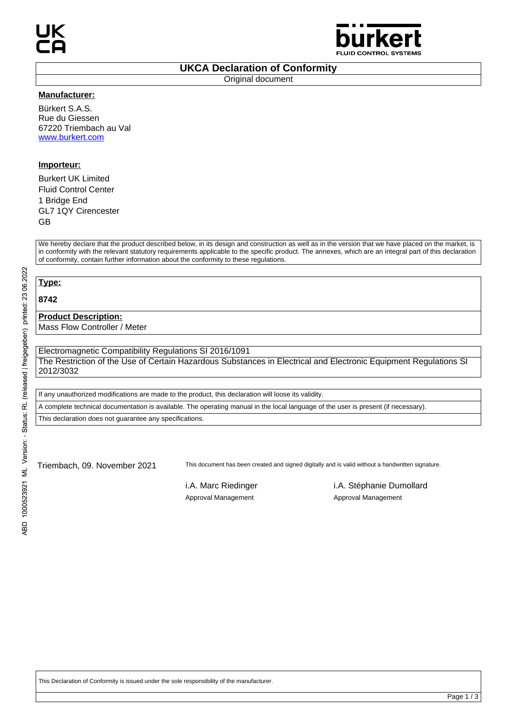

#### **UKCA Declaration of Conformity**

Original document

#### **Manufacturer:**

Bürkert S.A.S. Rue du Giessen 67220 Triembach au Val www.burkert.com

### **Importeur:**

Burkert UK Limited Fluid Control Center 1 Bridge End GL7 1QY Cirencester GB

We hereby declare that the product described below, in its design and construction as well as in the version that we have placed on the market, is in conformity with the relevant statutory requirements applicable to the specific product. The annexes, which are an integral part of this declaration of conformity, contain further information about the conformity to these regulations.

**Type:**

**8742**

### **Product Description:**

Mass Flow Controller / Meter

Electromagnetic Compatibility Regulations SI 2016/1091 The Restriction of the Use of Certain Hazardous Substances in Electrical and Electronic Equipment Regulations SI 2012/3032

If any unauthorized modifications are made to the product, this declaration will loose its validity. A complete technical documentation is available. The operating manual in the local language of the user is present (if necessary).

This declaration does not guarantee any specifications.

Triembach, 09. November 2021 This document has been created and signed digitally and is valid without a handwritten signature.

Approval Management Approval Management

i.A. Marc Riedinger i.A. Stéphanie Dumollard

This Declaration of Conformity is issued under the sole responsibility of the manufacturer.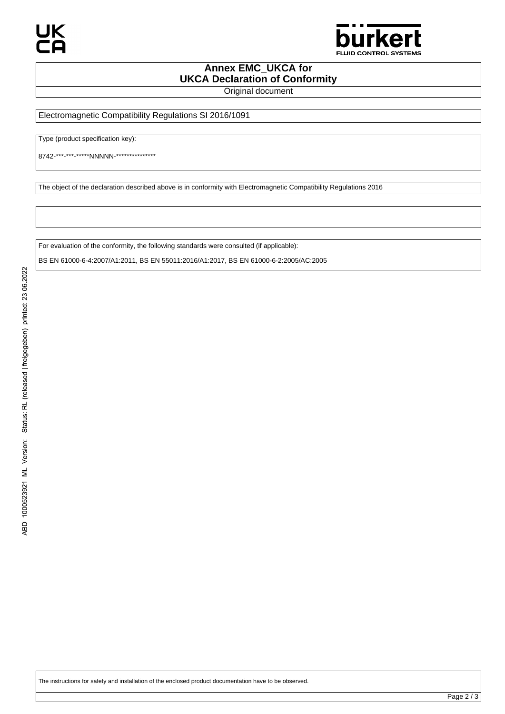

# **Annex EMC\_UKCA for UKCA Declaration of Conformity**

Original document

Electromagnetic Compatibility Regulations SI 2016/1091

Type (product specification key):

8742-\*\*\*-\*\*\*-\*\*\*\*\*NNNNN-\*\*\*\*\*\*\*\*\*\*\*\*\*\*\*

The object of the declaration described above is in conformity with Electromagnetic Compatibility Regulations 2016

For evaluation of the conformity, the following standards were consulted (if applicable): BS EN 61000-6-4:2007/A1:2011, BS EN 55011:2016/A1:2017, BS EN 61000-6-2:2005/AC:2005

The instructions for safety and installation of the enclosed product documentation have to be observed.